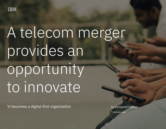

# A telecom merger provides an opportunity to innovate

Vi becomes a digital-first organization

by Catherine Palmer 7-minute read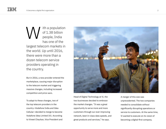ith a population of 1.38 billion people, India has one of the largest telecom markets in the world. Up until 2016, there were more than a dozen telecom service providers operating in the country. W

But in 2016, a new provider entered the marketplace, causing major disruption to the telecom market and triggering massive changes, including increased competition and price wars.

To adapt to these changes, two of the top telecom providers in the country—Vodafone India and Idea Cellular—decided to merge to become Vodafone Idea Limited (Vi). According to Vineet Chauhan, Vice President and



Head of Digital Technology at Vi, the two businesses decided to embrace the market changes. "It was a great opportunity to serve more and more customers through our ever-improving network, best-in-class data speeds, and great products and services," he says.

A merger of this size was unprecedented. The two companies needed to consolidate without significantly disrupting operations or service to customers. At the same time, Vi wanted to execute on its vision of becoming a digital-first company.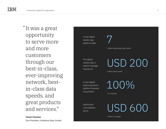"It was a great opportunity to serve more and more customers through our best-in-class, ever-improving network, bestin-class data speeds, and great products and services."

**Vineet Chauhan** Vice President, Vodafone Idea Limited



million in savings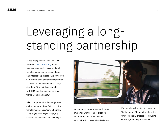## Leveraging a longstanding partnership

Vi had a long history with IBM, so it turned to [IBM® Consulting](https://www.ibm.com/consulting/) to help plan and execute its massive digital transformation and its consolidation and integration projects. "We partnered with IBM to drive digital transformation at the scale that we needed to," says Chauhan. "And in this partnership with IBM, our three pillars are trust, transparency and agility."

A key component for the merger was digital transformation. "We set out to transform ourselves," says Chauhan. "As a digital-first organization, we wanted to make sure that we delight



consumers at every touchpoint, every time. We have the kind of products and offerings that are innovative, personalized, contextual and relevant."

Working alongside IBM, Vi created a "digital factory" to help transform the various Vi digital properties, including websites, mobile apps and new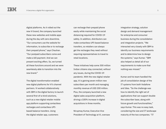digital platforms. As it rolled out the new Vi brand, the company launched these new websites and mobile apps during the day with zero downtime. "Our consumers use the website for information, to subscribe or to recharge their prepaid phone," says Chauhan. "Our postpaid subscribers come and make a bill payment. And we can present exciting offers. So, we turned all these functions around and we were seamlessly able to transition into the new brand"

The digital transformation enabled new digital platforms for Vi's channel partners. Vi worked collaboratively with IBM in the digital factory to launch several first-of-a-kind solutions, such as a new digital retailer mobile app platform supporting contactless recharges and contactless UPIbased balance transfers. Using the digital retailer app, customers

can recharge their prepaid phone easily while maintaining the social distancing required for COVID-19 safety. In addition, distributors can make contactless UPI-based balance transfers, so retailers can always get the recharges they need without requiring representatives to travel to retail locations.

These initiatives help some 300 million Indian citizens stay connected, without any issues, during the COVID-19 pandemic. With the new digital retailer app, Vi is gaining seven million new subscribers per month and managing monthly revenue of USD 200 million. Plus, the company launched a new digital sales acquisition platform, driving a 100% increase in digital acquisitions in three months.

Nirupmay Kumar, Executive Vice President of Technology at Vi, oversaw

integration strategy, solution design and demand management for enterprise and consumer business during the consolidation and integration projects. "We interacted very closely with IBM to identify our business requirements and to determine how to design the systems," says Kumar. "IBM also helped us detail all of our requirements to make sure that nothing was missed."

Kumar and his team handled the job of consolidation design of the IT systems from both Vodafone and Idea. "So the challenge was how to identify the right set of applications that can support double the subscriber base, along with future growth and functionalities," says Kumar. This was no easy task, considering the size and IT landscape maturity of the two companies. "IT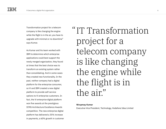Transformation project for a telecom company is like changing the engine while the flight is in the air, you have to upgrade with minimal or no downtime" says Kumar.

As Kumar and his team worked with IBM to determine which enterprise applications could best support the newly merged organization, they found at times that the best choice was to transform an existing system rather than consolidating. And in some cases they created new functionality. In the past, neither company had a digital platform for the enterprise consumer, so Vi and IBM created a new digital platform to provide self-service options to Vi enterprise customers. In fact, the Vi enterprise digital platform won five awards at the prestigious ICMG Architecture Excellence Awards competition. The new enterprise digital platform has delivered a 35% increase in payments, a 60% growth in customer IT Transformation "project for a telecom company is like changing the engine while the flight is in the air."

### **Nirupmay Kumar**

Executive Vice President, Technology, Vodafone Idea Limited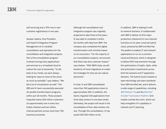self-servicing and a 70% rise in new customer registrations in one year.

Sanjeev Vadera, Vice President and Head of Integration Program Management at Vi, handled consolidation and operations for the consolidation and integration projects. Part of the consolidation program involved moving many applications and services to a virtualized cloud to reduce the cost of ownership. "In the back of our minds, we were always looking for ways to move to the cloud as much as possible," says Vadera. "We did a lot of virtualization as well." The IBM and Vi team successfully executed 32 parallel transformation programs within just 18 months. These projects impacted nearly 300 million customers (or approximately one in every four Indian citizens) and two million channel partners across more than 700 business processes.

Although the consolidation and integration program was originally projected to take three to five years, Vi was able to complete it within 24 months with help from IBM. The company also completed the digital transformation with minimal impact on its consumers. "For the majority of our consolidation projects, we ensured that there was zero customer impact," says Vadera. "With IBM's help, we did iterations of mock migrations to create the strategies for how we can reduce downtime."

In total, Vi and IBM consolidated more than 350 applications down to approximately 200. In addition, the teams migrated 140 applications from three data centers to one data center. Ultimately, the project will result in the consolidation of four data centers into one. Through this consolidation, Vi has saved USD 600 million so far.

In addition, IBM is helping Vi with its network domains. Vi collaborated with IBM to deliver its first major production milestone for core network functions on its open universal hybrid cloud, powered by IBM and Red Hat. The platform enables IT and network applications to run on a common cloud architecture, which is designed to deliver ROI improvements through the optimization of CapEx, OpEx, skills and automation investments across both the network and IT application domains. The hybrid cloud is based on open technology and open standards from IBM and Red Hat, and it delivers a wide range of capabilities, including [IBM Watson® AI](https://www.ibm.com/watson) and the [Red Hat®](https://www.redhat.com/en/technologies/management/ansible?_ga=2.118907785.1048681106.1651641237-1101637284.1651641237)  [Ansible® Automation Platform](https://www.redhat.com/en/technologies/management/ansible?_ga=2.118907785.1048681106.1651641237-1101637284.1651641237) (link resides outside ibm.com), which can help strengthen Vi's capability in network and IT planning.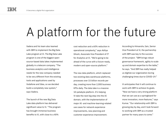### A platform for the future

Vadera and his team also teamed with IBM to implement the Big Data Lake program at Vi. The Big Data Lake program is one of the biggest opensource-based data lakes implemented globally in a telecom company. "The business analytics and intelligence needs for the new company needed to be very different from the existing tools and applications used by Vodafone and Idea, so we decided build a completely new system," says Vadera.

The launch of the new Big Data Lake data platform has delivered significant value to Vi. "The program has brought immense business benefits to Vi, with close to a 40%

cost reduction and a 60% reduction in operational complexity," says Aditya Ghosh, Associate Vice President of IT for Analytics at Vi. "We're going to be ahead of the curve with a future-ready, modern and open-source platform."

The new data platform, which replaced two existing data warehouse platforms, processes over 15 billion records per day, creating more than 2,000 business KPIs daily. The data lake is a massive 10-petabyte platform. It's helping Vi take the next big step into the AI domain, with the implementation of major AI- and machine-learning-related use cases for network experience improvements, new planning and customer experience improvement.

According to Himanshu Jain, Senior Vice President at Vi, the partnership with IBM was key to the success of the project. "IBM brings robust governance framework, agility to scale up and domain expertise to the table," he says. "And IBM has really helped us digitize our organization during challenging times due to COVID-19."

Vi anticipates that it will continue to work with IBM to achieve its goals. "Now we have a very strong platform that we can use as a springboard for more innovation, more features," says Kumar. "Our relationship with IBM is growing day by day, and I look forward to working with IBM as a trusted partner for many years to come."